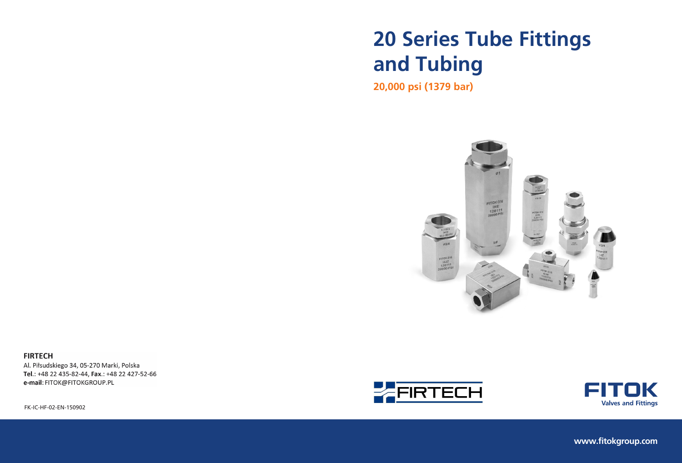# **20 Series Tube Fittings and Tubing**

**20,000 psi (1379 bar)**



**FIRTECH** Al. Piłsudskiego 34, 05-270 Marki, Polska

Tel.: +48 22 435-82-44, Fax.: +48 22 427-52-66 e-mail: FITOK@FITOKGROUP.PL



FK-IC-HF-02-EN-150902







**www.fitokgroup.com**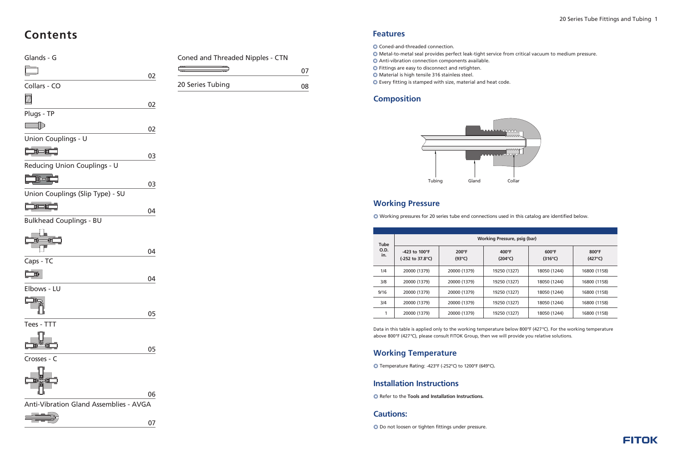| <b>Tube</b>        | Working Pressure, psig (bar)                                         |                                   |                                     |                                     |                                   |  |  |  |  |  |  |
|--------------------|----------------------------------------------------------------------|-----------------------------------|-------------------------------------|-------------------------------------|-----------------------------------|--|--|--|--|--|--|
| <b>O.D.</b><br>in. | -423 to $100^{\circ}$ F<br>$(-252 \text{ to } 37.8^{\circ}\text{C})$ | $200^{\circ}F$<br>$(93^{\circ}C)$ | $400^{\circ}$ F<br>$(204^{\circ}C)$ | $600^{\circ}$ F<br>$(316^{\circ}C)$ | $800^\circ F$<br>$(427^{\circ}C)$ |  |  |  |  |  |  |
| 1/4                | 20000 (1379)                                                         | 20000 (1379)                      | 19250 (1327)                        | 18050 (1244)                        | 16800 (1158)                      |  |  |  |  |  |  |
| 3/8                | 20000 (1379)                                                         | 20000 (1379)                      | 19250 (1327)                        | 18050 (1244)                        | 16800 (1158)                      |  |  |  |  |  |  |
| 9/16               | 20000 (1379)                                                         | 20000 (1379)                      | 19250 (1327)                        | 18050 (1244)                        | 16800 (1158)                      |  |  |  |  |  |  |
| 3/4                | 20000 (1379)                                                         | 20000 (1379)                      | 19250 (1327)                        | 18050 (1244)                        | 16800 (1158)                      |  |  |  |  |  |  |
|                    | 20000 (1379)                                                         | 20000 (1379)                      | 19250 (1327)                        | 18050 (1244)                        | 16800 (1158)                      |  |  |  |  |  |  |

Data in this table is applied only to the working temperature below 800°F (427 °C). For the working temperature above 800°F (427 °C), please consult FITOK Group, then we will provide you relative solutions.



# **Features**

- Coned-and-threaded connection. ◎
- ◎ Metal-to-metal seal provides perfect leak-tight service from critical vacuum to medium pressure.
- Anti-vibration connection components available. ◎
- Fittings are easy to disconnect and retighten. ◎
- Material is high tensile 316 stainless steel. ◎
- Every fitting is stamped with size, material and heat code. ◎





# **Composition**

# **Working Pressure**

# **Contents**

# Glands - G  $\begin{tabular}{|c|c|} \hline 5mm \\ \hline \end{tabular}$  02 Collars - CO 02 Plugs - TP  $\Box$ 02 Union Couplings - U  $\Box$ 03 Reducing Union Couplings - U **To the Company of the Company of the Company** 03 Union Couplings (Slip Type) - SU <u> Der de la</u> 04 Bulkhead Couplings - BU 04 Caps - TC  $\begin{array}{c} \mathbf{1} \ \mathbf{2} \end{array}$ 04 Elbows - LU **Le** 05 Tees - TTT 05 Crosses - C 06 Anti-Vibration Gland Assemblies - AVGA 07

| Coned and Threaded Nipples - CTN |    |
|----------------------------------|----|
|                                  | 07 |

| 20 Series Tubing |  |
|------------------|--|
|                  |  |

# **Installation Instructions**

◎ Refer to the **Tools and Installation Instructions.**

# **Cautions:**

◎ Do not loosen or tighten fittings under pressure.

# **Working Temperature**

◎ Temperature Rating: -423°F (-252°C) to 1200°F (649°C)**.**

◎ Working pressures for 20 series tube end connections used in this catalog are identified below.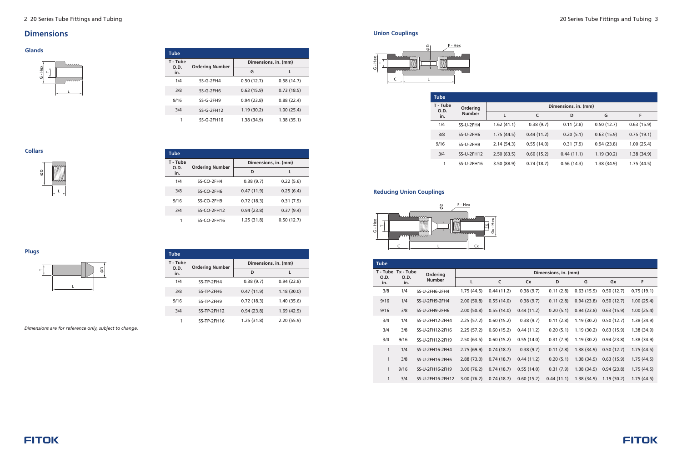# **Dimensions**

#### **Collars**



| <b>Tube</b>      |                        |                      |            |  |  |  |
|------------------|------------------------|----------------------|------------|--|--|--|
| T - Tube<br>O.D. | <b>Ordering Number</b> | Dimensions, in. (mm) |            |  |  |  |
| in.              |                        | D                    | L          |  |  |  |
| 1/4              | SS-CO-2FH4             | 0.38(9.7)            | 0.22(5.6)  |  |  |  |
| 3/8              | SS-CO-2FH6             | 0.47(11.9)           | 0.25(6.4)  |  |  |  |
| 9/16             | SS-CO-2FH9             | 0.72(18.3)           | 0.31(7.9)  |  |  |  |
| 3/4              | $SS-CO-2FH12$          | 0.94(23.8)           | 0.37(9.4)  |  |  |  |
|                  | SS-CO-2FH16            | 1.25(31.8)           | 0.50(12.7) |  |  |  |

#### **Plugs**



**T - Tube O.D. in. Dimensions, in. (mm) Ordering Number D L** 1/4 3/8 9/16 3/4 1 SS-TP-2FH4 SS-TP-2FH6 SS-TP-2FH9 SS-TP-2FH12 SS-TP-2FH16 0.38 (9.7) 0.47 (11.9) 0.72 (18.3) 0.94 (23.8) 1.25 (31.8) 0.94 (23.8) 1.18 (30.0) 1.40 (35.6) 1.69 (42.9) 2.20 (55.9)

**Tube**

*Dimensions are for reference only, subject to change.*

#### **Glands**

| <b>Tube</b>      |                        |                      |            |  |  |  |
|------------------|------------------------|----------------------|------------|--|--|--|
| T - Tube<br>O.D. | <b>Ordering Number</b> | Dimensions, in. (mm) |            |  |  |  |
| in.              |                        | G                    |            |  |  |  |
| 1/4              | SS-G-2FH4              | 0.50(12.7)           | 0.58(14.7) |  |  |  |
| 3/8              | $SS-G-2FHG$            | 0.63(15.9)           | 0.73(18.5) |  |  |  |
| 9/16             | $SS-G-2FH9$            | 0.94(23.8)           | 0.88(22.4) |  |  |  |
| 3/4              | $SS-G-2FH12$           | 1.19(30.2)           | 1.00(25.4) |  |  |  |
|                  | $SS-G-2FH16$           | 1.38 (34.9)          | 1.38(35.1) |  |  |  |



#### **Union Couplings**



#### **Reducing Union Couplings**

| <b>Tube</b>      |               |            |            |                      |            |            |
|------------------|---------------|------------|------------|----------------------|------------|------------|
| T - Tube<br>O.D. | Ordering      |            |            | Dimensions, in. (mm) |            |            |
| in.              | <b>Number</b> |            | C          | D                    | G          | F          |
| 1/4              | SS-U-2FH4     | 1.62(41.1) | 0.38(9.7)  | 0.11(2.8)            | 0.50(12.7) | 0.63(15.9) |
| 3/8              | SS-U-2FH6     | 1.75(44.5) | 0.44(11.2) | 0.20(5.1)            | 0.63(15.9) | 0.75(19.1) |
| 9/16             | SS-U-2FH9     | 2.14(54.3) | 0.55(14.0) | 0.31(7.9)            | 0.94(23.8) | 1.00(25.4) |
| 3/4              | SS-U-2FH12    | 2.50(63.5) | 0.60(15.2) | 0.44(11.1)           | 1.19(30.2) | 1.38(34.9) |
| 1                | SS-U-2FH16    | 3.50(88.9) | 0.74(18.7) | 0.56(14.3)           | 1.38(34.9) | 1.75(44.5) |

| <b>Tube</b>               |                   |                  |                      |            |            |            |            |            |             |
|---------------------------|-------------------|------------------|----------------------|------------|------------|------------|------------|------------|-------------|
| T - Tube                  | Tx - Tube<br>O.D. | Ordering         | Dimensions, in. (mm) |            |            |            |            |            |             |
| <b>O.D.</b><br>in.<br>in. |                   | <b>Number</b>    | L                    | C          | <b>Cx</b>  | D          | G          | Gx         | F           |
| 3/8                       | 1/4               | SS-U-2FH6-2FH4   | 1.75(44.5)           | 0.44(11.2) | 0.38(9.7)  | 0.11(2.8)  | 0.63(15.9) | 0.50(12.7) | 0.75(19.1)  |
| 9/16                      | 1/4               | SS-U-2FH9-2FH4   | 2.00(50.8)           | 0.55(14.0) | 0.38(9.7)  | 0.11(2.8)  | 0.94(23.8) | 0.50(12.7) | 1.00(25.4)  |
| 9/16                      | 3/8               | SS-U-2FH9-2FH6   | 2.00(50.8)           | 0.55(14.0) | 0.44(11.2) | 0.20(5.1)  | 0.94(23.8) | 0.63(15.9) | 1.00(25.4)  |
| 3/4                       | 1/4               | SS-U-2FH12-2FH4  | 2.25(57.2)           | 0.60(15.2) | 0.38(9.7)  | 0.11(2.8)  | 1.19(30.2) | 0.50(12.7) | 1.38 (34.9) |
| 3/4                       | 3/8               | SS-U-2FH12-2FH6  | 2.25(57.2)           | 0.60(15.2) | 0.44(11.2) | 0.20(5.1)  | 1.19(30.2) | 0.63(15.9) | 1.38 (34.9) |
| 3/4                       | 9/16              | SS-U-2FH12-2FH9  | 2.50(63.5)           | 0.60(15.2) | 0.55(14.0) | 0.31(7.9)  | 1.19(30.2) | 0.94(23.8) | 1.38 (34.9) |
| 1                         | 1/4               | SS-U-2FH16-2FH4  | 2.75(69.9)           | 0.74(18.7) | 0.38(9.7)  | 0.11(2.8)  | 1.38(34.9) | 0.50(12.7) | 1.75(44.5)  |
| 1                         | 3/8               | SS-U-2FH16-2FH6  | 2.88(73.0)           | 0.74(18.7) | 0.44(11.2) | 0.20(5.1)  | 1.38(34.9) | 0.63(15.9) | 1.75(44.5)  |
| 1                         | 9/16              | SS-U-2FH16-2FH9  | 3.00(76.2)           | 0.74(18.7) | 0.55(14.0) | 0.31(7.9)  | 1.38(34.9) | 0.94(23.8) | 1.75(44.5)  |
| 1                         | 3/4               | SS-U-2FH16-2FH12 | 3.00(76.2)           | 0.74(18.7) | 0.60(15.2) | 0.44(11.1) | 1.38(34.9) | 1.19(30.2) | 1.75(44.5)  |

# **FITOK**



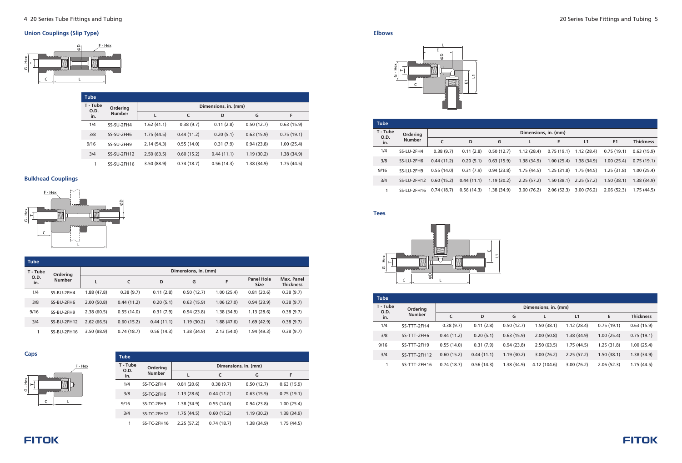

## **Union Couplings (Slip Type)**

## **Bulkhead Couplings**

**Caps**

| <b>Tube</b>             |                           |                      |            |            |            |            |  |  |  |
|-------------------------|---------------------------|----------------------|------------|------------|------------|------------|--|--|--|
| T - Tube<br>O.D.<br>in. | Ordering<br><b>Number</b> | Dimensions, in. (mm) |            |            |            |            |  |  |  |
|                         |                           | L                    | C          | D          | G          | F          |  |  |  |
| 1/4                     | SS-SU-2FH4                | 1.62(41.1)           | 0.38(9.7)  | 0.11(2.8)  | 0.50(12.7) | 0.63(15.9) |  |  |  |
| 3/8                     | SS-SU-2FH6                | 1.75(44.5)           | 0.44(11.2) | 0.20(5.1)  | 0.63(15.9) | 0.75(19.1) |  |  |  |
| 9/16                    | SS-SU-2FH9                | 2.14(54.3)           | 0.55(14.0) | 0.31(7.9)  | 0.94(23.8) | 1.00(25.4) |  |  |  |
| 3/4                     | SS-SU-2FH12               | 2.50(63.5)           | 0.60(15.2) | 0.44(11.1) | 1.19(30.2) | 1.38(34.9) |  |  |  |
| 1                       | SS-SU-2FH16               | 3.50 (88.9)          | 0.74(18.7) | 0.56(14.3) | 1.38(34.9) | 1.75(44.5) |  |  |  |

|             | <b>Tube</b>   |             |            |            |            |                      |                                  |                                |           |
|-------------|---------------|-------------|------------|------------|------------|----------------------|----------------------------------|--------------------------------|-----------|
|             | T - Tube      | Ordering    |            |            |            | Dimensions, in. (mm) |                                  |                                |           |
| O.D.<br>in. | <b>Number</b> | L           | C          | D          | G          | F                    | <b>Panel Hole</b><br><b>Size</b> | Max. Panel<br><b>Thickness</b> |           |
|             | 1/4           | SS-BU-2FH4  | 1.88(47.8) | 0.38(9.7)  | 0.11(2.8)  | 0.50(12.7)           | 1.00(25.4)                       | 0.81(20.6)                     | 0.38(9.7) |
|             | 3/8           | SS-BU-2FH6  | 2.00(50.8) | 0.44(11.2) | 0.20(5.1)  | 0.63(15.9)           | 1.06(27.0)                       | 0.94(23.9)                     | 0.38(9.7) |
|             | 9/16          | SS-BU-2FH9  | 2.38(60.5) | 0.55(14.0) | 0.31(7.9)  | 0.94(23.8)           | 1.38(34.9)                       | 1.13(28.6)                     | 0.38(9.7) |
|             | 3/4           | SS-BU-2FH12 | 2.62(66.5) | 0.60(15.2) | 0.44(11.1) | 1.19(30.2)           | 1.88(47.6)                       | 1.69(42.9)                     | 0.38(9.7) |
|             |               | SS-BU-2FH16 | 3.50(88.9) | 0.74(18.7) | 0.56(14.3) | 1.38(34.9)           | 2.13(54.0)                       | 1.94(49.3)                     | 0.38(9.7) |





| <b>Tube</b>      |               |            |            |                      |            |
|------------------|---------------|------------|------------|----------------------|------------|
| T - Tube<br>O.D. | Ordering      |            |            | Dimensions, in. (mm) |            |
| in.              | <b>Number</b> |            | C          | G                    | F          |
| 1/4              | SS-TC-2FH4    | 0.81(20.6) | 0.38(9.7)  | 0.50(12.7)           | 0.63(15.9) |
| 3/8              | SS-TC-2FH6    | 1.13(28.6) | 0.44(11.2) | 0.63(15.9)           | 0.75(19.1) |
| 9/16             | SS-TC-2FH9    | 1.38(34.9) | 0.55(14.0) | 0.94(23.8)           | 1.00(25.4) |
| 3/4              | SS-TC-2FH12   | 1.75(44.5) | 0.60(15.2) | 1.19(30.2)           | 1.38(34.9) |
| 1                | SS-TC-2FH16   | 2.25(57.2) | 0.74(18.7) | 1.38(34.9)           | 1.75(44.5) |



| <b>Tube</b>      |               |            |            |            |                      |            |                           |            |                  |
|------------------|---------------|------------|------------|------------|----------------------|------------|---------------------------|------------|------------------|
| T - Tube<br>O.D. | Ordering      |            |            |            | Dimensions, in. (mm) |            |                           |            |                  |
| in.              | <b>Number</b> | C          | D          | G          |                      | E          | L1                        | E1         | <b>Thickness</b> |
| 1/4              | SS-LU-2FH4    | 0.38(9.7)  | 0.11(2.8)  | 0.50(12.7) | 1.12(28.4)           | 0.75(19.1) | 1.12 (28.4)               | 0.75(19.1) | 0.63(15.9)       |
| 3/8              | SS-LU-2FH6    | 0.44(11.2) | 0.20(5.1)  | 0.63(15.9) | 1.38(34.9)           | 1.00(25.4) | 1.38(34.9)                | 1.00(25.4) | 0.75(19.1)       |
| 9/16             | SS-LU-2FH9    | 0.55(14.0) | 0.31(7.9)  | 0.94(23.8) | 1.75(44.5)           | 1.25(31.8) | 1.75 (44.5)               | 1.25(31.8) | 1.00(25.4)       |
| 3/4              | SS-LU-2FH12   | 0.60(15.2) | 0.44(11.1) | 1.19(30.2) | 2.25(57.2)           |            | $1.50(38.1)$ $2.25(57.2)$ | 1.50(38.1) | 1.38(34.9)       |
|                  | SS-LU-2FH16   | 0.74(18.7) | 0.56(14.3) | 1.38(34.9) | 3.00(76.2)           | 2.06(52.3) | 3.00(76.2)                | 2.06(52.3) | 1.75(44.5)       |

| <b>Tube</b>                    |               |            |            |            |                      |            |            |                  |
|--------------------------------|---------------|------------|------------|------------|----------------------|------------|------------|------------------|
| T - Tube<br><b>O.D.</b><br>in. | Ordering      |            |            |            | Dimensions, in. (mm) |            |            |                  |
|                                | <b>Number</b> | C          | D          | G          | L                    | L1         | E          | <b>Thickness</b> |
| 1/4                            | SS-TTT-2FH4   | 0.38(9.7)  | 0.11(2.8)  | 0.50(12.7) | 1.50(38.1)           | 1.12(28.4) | 0.75(19.1) | 0.63(15.9)       |
| 3/8                            | SS-TTT-2FH6   | 0.44(11.2) | 0.20(5.1)  | 0.63(15.9) | 2.00(50.8)           | 1.38(34.9) | 1.00(25.4) | 0.75(19.1)       |
| 9/16                           | SS-TTT-2FH9   | 0.55(14.0) | 0.31(7.9)  | 0.94(23.8) | 2.50(63.5)           | 1.75(44.5) | 1.25(31.8) | 1.00(25.4)       |
| 3/4                            | SS-TTT-2FH12  | 0.60(15.2) | 0.44(11.1) | 1.19(30.2) | 3.00(76.2)           | 2.25(57.2) | 1.50(38.1) | 1.38(34.9)       |
|                                | SS-TTT-2FH16  | 0.74(18.7) | 0.56(14.3) | 1.38(34.9) | 4.12 (104.6)         | 3.00(76.2) | 2.06(52.3) | 1.75(44.5)       |

# **FITOK**

#### **Elbows**

**Tees**



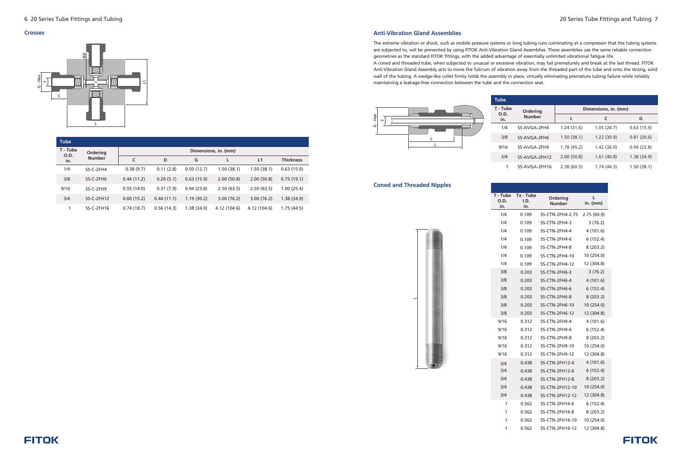#### **Crosses**

| <b>Tube</b>      |                           |                      |            |            |              |                |                  |
|------------------|---------------------------|----------------------|------------|------------|--------------|----------------|------------------|
| T - Tube<br>O.D. | Ordering<br><b>Number</b> | Dimensions, in. (mm) |            |            |              |                |                  |
| in.              |                           | $\mathsf{C}$         | D          | G          | L            | L <sub>1</sub> | <b>Thickness</b> |
| 1/4              | SS-C-2FH4                 | 0.38(9.7)            | 0.11(2.8)  | 0.50(12.7) | 1.50(38.1)   | 1.50(38.1)     | 0.63(15.9)       |
| 3/8              | SS-C-2FH6                 | 0.44(11.2)           | 0.20(5.1)  | 0.63(15.9) | 2.00(50.8)   | 2.00(50.8)     | 0.75(19.1)       |
| 9/16             | SS-C-2FH9                 | 0.55(14.0)           | 0.31(7.9)  | 0.94(23.8) | 2.50(63.5)   | 2.50(63.5)     | 1.00(25.4)       |
| 3/4              | $SS-C-2FH12$              | 0.60(15.2)           | 0.44(11.1) | 1.19(30.2) | 3.00(76.2)   | 3.00(76.2)     | 1.38(34.9)       |
|                  | $SS-C-2FH16$              | 0.74(18.7)           | 0.56(14.3) | 1.38(34.9) | 4.12 (104.6) | 4.12 (104.6)   | 1.75(44.5)       |



#### **Anti-Vibration Gland Assemblies**

The extreme vibration or shock, such as mobile pressure systems or long tubing runs culminating at a compressor that the tubing systems are subjected to, will be prevented by using FITOK Anti-Vibration Gland Assemblies. These assemblies use the same reliable connection geometries as the standard FITOK fittings, with the added advantage of essentially unlimited vibrational fatigue life. A coned and threaded tube, when subjected to unusual or excessive vibration, may fail prematurely and break at the last thread. FITOK Anti-Vibration Gland Assembly acts to move the fulcrum of vibration away from the threaded part of the tube and onto the strong, solid wall of the tubing. A wedge-like collet firmly holds the assembly in place, virtually eliminating premature tubing failure while reliably maintaining a leakage-free connection between the tube and the connection seat.

#### **Coned and Threaded Nipples**

 $\overline{\phantom{a}}$ 

| Ordering      | Dimensions, in. (mm) |            |            |  |  |  |
|---------------|----------------------|------------|------------|--|--|--|
| <b>Number</b> | L                    | C          | G          |  |  |  |
| SS-AVGA-2FH4  | 1.24(31.6)           | 1.05(26.7) | 0.63(15.9) |  |  |  |
| SS-AVGA-2FH6  | 1.50(38.1)           | 1.22(30.9) | 0.81(20.6) |  |  |  |
| SS-AVGA-2FH9  | 1.78(45.2)           | 1.42(36.0) | 0.94(23.8) |  |  |  |
| SS-AVGA-2FH12 | 2.00(50.8)           | 1.61(40.8) | 1.38(34.9) |  |  |  |
| SS-AVGA-2FH16 | 2.38(60.5)           | 1.74(44.3) | 1.50(38.1) |  |  |  |



**T - Tube**

| O.D. |
|------|
| in.  |
| 1/4  |
| 1/4  |
| 1/4  |
| 1/4  |
| 1/4  |
| 1/4  |
| 1/4  |
| 3/8  |
| 3/8  |
| 3/8  |
| 3/8  |
| 3/8  |
| 3/8  |
| 9/16 |
| 9/16 |
| 9/16 |
| 9/16 |
| 9/16 |
| 3/4  |
| 3/4  |
| 3/4  |
| 3/4  |
| 3/4  |
| 1    |
| 1    |

| Tx - Tube<br>I,D.<br>in. | Ordering<br>Number    | L<br>in. (mm) |
|--------------------------|-----------------------|---------------|
| 0.109                    | SS-CTN-2FH4-2.75      | 2.75 (69.9)   |
| 0.109                    | SS-CTN-2FH4-3         | 3 (76.2)      |
| 0.109                    | SS-CTN-2FH4-4         | 4 (101.6)     |
| 0.109                    | SS-CTN-2FH4-6         | 6 (152.4)     |
| 0.109                    | SS-CTN-2FH4-8         | 8 (203.2)     |
| 0.109                    | SS-CTN-2FH4-10        | 10 (254.0)    |
| 0.109                    | <b>SS-CTN-2FH4-12</b> | 12 (304.8)    |
| 0.203                    | SS-CTN-2FH6-3         | 3(76.2)       |
| 0.203                    | SS-CTN-2FH6-4         | 4(101.6)      |
| 0.203                    | SS-CTN-2FH6-6         | 6(152.4)      |
| 0.203                    | SS-CTN-2FH6-8         | 8 (203.2)     |
| 0.203                    | <b>SS-CTN-2FH6-10</b> | 10 (254.0)    |
| 0.203                    | <b>SS-CTN-2FH6-12</b> | 12 (304.8)    |
| 0.312                    | SS-CTN-2FH9-4         | 4 (101.6)     |
| 0.312                    | SS-CTN-2FH9-6         | 6 (152.4)     |
| 0.312                    | SS-CTN-2FH9-8         | 8 (203.2)     |
| 0.312                    | <b>SS-CTN-2FH9-10</b> | 10 (254.0)    |
| 0.312                    | <b>SS-CTN-2FH9-12</b> | 12 (304.8)    |
| 0.438                    | <b>SS-CTN-2FH12-4</b> | 4(101.6)      |
| 0.438                    | <b>SS-CTN-2FH12-6</b> | 6 (152.4)     |
| 0.438                    | <b>SS-CTN-2FH12-8</b> | 8(203.2)      |
| 0.438                    | SS-CTN-2FH12-10       | 10 (254.0)    |
| 0.438                    | SS-CTN-2FH12-12       | 12 (304.8)    |
| 0.562                    | SS-CTN-2FH16-6        | 6 (152.4)     |
| 0.562                    | <b>SS-CTN-2FH16-8</b> | 8 (203.2)     |
| 0.562                    | SS-CTN-2FH16-10       | 10 (254.0)    |
| 0.562                    | SS-CTN-2FH16-12       | 12 (304.8)    |
|                          |                       |               |



1

1